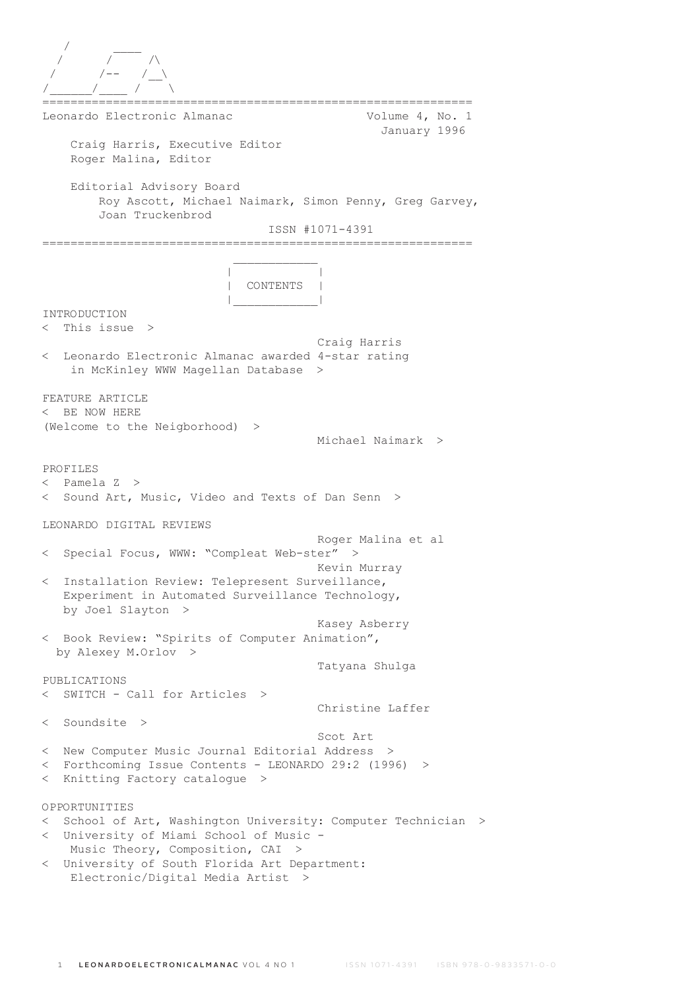| Leonardo Electronic Almanac                                                                                                                     | Volume 4, No. 1                         |
|-------------------------------------------------------------------------------------------------------------------------------------------------|-----------------------------------------|
| Craig Harris, Executive Editor<br>Roger Malina, Editor                                                                                          | January 1996                            |
| Editorial Advisory Board<br>Roy Ascott, Michael Naimark, Simon Penny, Greg Garvey,<br>Joan Truckenbrod                                          | ISSN #1071-4391                         |
| CONTENTS                                                                                                                                        |                                         |
| INTRODUCTION<br>This issue $>$<br>$\,<\,$                                                                                                       |                                         |
| Leonardo Electronic Almanac awarded 4-star rating<br>$\,<\,$<br>in McKinley WWW Magellan Database                                               | Craig Harris<br>>                       |
| FEATURE ARTICLE<br>BE NOW HERE<br>$\lt$<br>(Welcome to the Neigborhood) >                                                                       | Michael Naimark >                       |
| PROFILES<br>< Pamela Z ><br>Sound Art, Music, Video and Texts of Dan Senn ><br>$\lt$                                                            |                                         |
| LEONARDO DIGITAL REVIEWS                                                                                                                        |                                         |
| Special Focus, WWW: "Compleat Web-ster"<br>$\lt$                                                                                                | Roger Malina et al<br>><br>Kevin Murray |
| Installation Review: Telepresent Surveillance,<br>$\lt$<br>Experiment in Automated Surveillance Technology,<br>by Joel Slayton<br>$\rightarrow$ |                                         |
| < Book Review: "Spirits of Computer Animation",<br>by Alexey M.Orlov >                                                                          | Kasey Asberry                           |
|                                                                                                                                                 | Tatyana Shulga                          |
| PUBLICATIONS<br>SWITCH - Call for Articles<br>$\lt$ .<br>$\rightarrow$                                                                          |                                         |
| < Soundsite >                                                                                                                                   | Christine Laffer                        |
|                                                                                                                                                 | Scot Art                                |
| < New Computer Music Journal Editorial Address<br>< Forthcoming Issue Contents - LEONARDO 29:2 (1996) >                                         | $\geq$                                  |
| Knitting Factory catalogue<br>$\lt$<br>$\geq$                                                                                                   |                                         |
| OPPORTUNITIES                                                                                                                                   |                                         |
| School of Art, Washington University: Computer Technician<br>$\lt$                                                                              | $\rm{>}$                                |
| University of Miami School of Music -<br>$\lt$<br>Music Theory, Composition, CAI<br>>                                                           |                                         |
| < University of South Florida Art Department:                                                                                                   |                                         |
| Electronic/Digital Media Artist >                                                                                                               |                                         |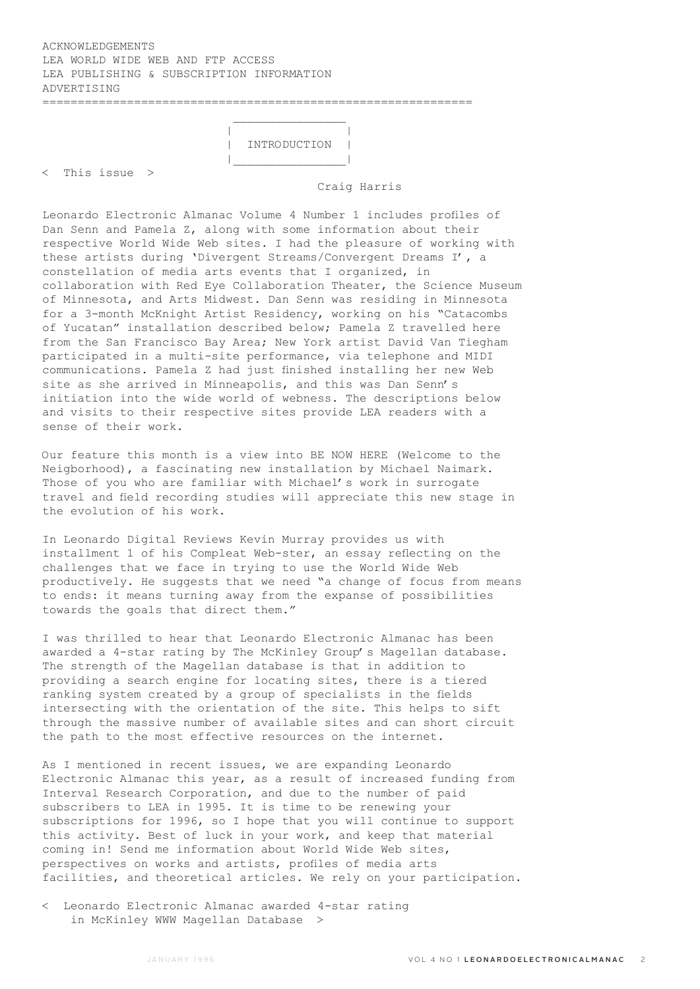# ACKNOWLEDGEMENTS LEA WORLD WIDE WEB AND FTP ACCESS LEA PUBLISHING & SUBSCRIPTION INFORMATION ADVERTISING =============================================================

 $\mathcal{L}_\mathcal{L} = \{ \mathcal{L}_\mathcal{L} \mid \mathcal{L}_\mathcal{L} \in \mathcal{L}_\mathcal{L} \}$  , where  $\mathcal{L}_\mathcal{L} = \{ \mathcal{L}_\mathcal{L} \mid \mathcal{L}_\mathcal{L} \in \mathcal{L}_\mathcal{L} \}$ 

 | | | INTRODUCTION | |\_\_\_\_\_\_\_\_\_\_\_\_\_\_\_\_|

< This issue >

Craig Harris

Leonardo Electronic Almanac Volume 4 Number 1 includes profiles of Dan Senn and Pamela Z, along with some information about their respective World Wide Web sites. I had the pleasure of working with these artists during 'Divergent Streams/Convergent Dreams I', a constellation of media arts events that I organized, in collaboration with Red Eye Collaboration Theater, the Science Museum of Minnesota, and Arts Midwest. Dan Senn was residing in Minnesota for a 3-month McKnight Artist Residency, working on his "Catacombs of Yucatan" installation described below; Pamela Z travelled here from the San Francisco Bay Area; New York artist David Van Tiegham participated in a multi-site performance, via telephone and MIDI communications. Pamela Z had just finished installing her new Web site as she arrived in Minneapolis, and this was Dan Senn's initiation into the wide world of webness. The descriptions below and visits to their respective sites provide LEA readers with a sense of their work.

Our feature this month is a view into BE NOW HERE (Welcome to the Neigborhood), a fascinating new installation by Michael Naimark. Those of you who are familiar with Michael's work in surrogate travel and field recording studies will appreciate this new stage in the evolution of his work.

In Leonardo Digital Reviews Kevin Murray provides us with installment 1 of his Compleat Web-ster, an essay reflecting on the challenges that we face in trying to use the World Wide Web productively. He suggests that we need "a change of focus from means to ends: it means turning away from the expanse of possibilities towards the goals that direct them."

I was thrilled to hear that Leonardo Electronic Almanac has been awarded a 4-star rating by The McKinley Group's Magellan database. The strength of the Magellan database is that in addition to providing a search engine for locating sites, there is a tiered ranking system created by a group of specialists in the fields intersecting with the orientation of the site. This helps to sift through the massive number of available sites and can short circuit the path to the most effective resources on the internet.

As I mentioned in recent issues, we are expanding Leonardo Electronic Almanac this year, as a result of increased funding from Interval Research Corporation, and due to the number of paid subscribers to LEA in 1995. It is time to be renewing your subscriptions for 1996, so I hope that you will continue to support this activity. Best of luck in your work, and keep that material coming in! Send me information about World Wide Web sites, perspectives on works and artists, profiles of media arts facilities, and theoretical articles. We rely on your participation.

< Leonardo Electronic Almanac awarded 4-star rating in McKinley WWW Magellan Database >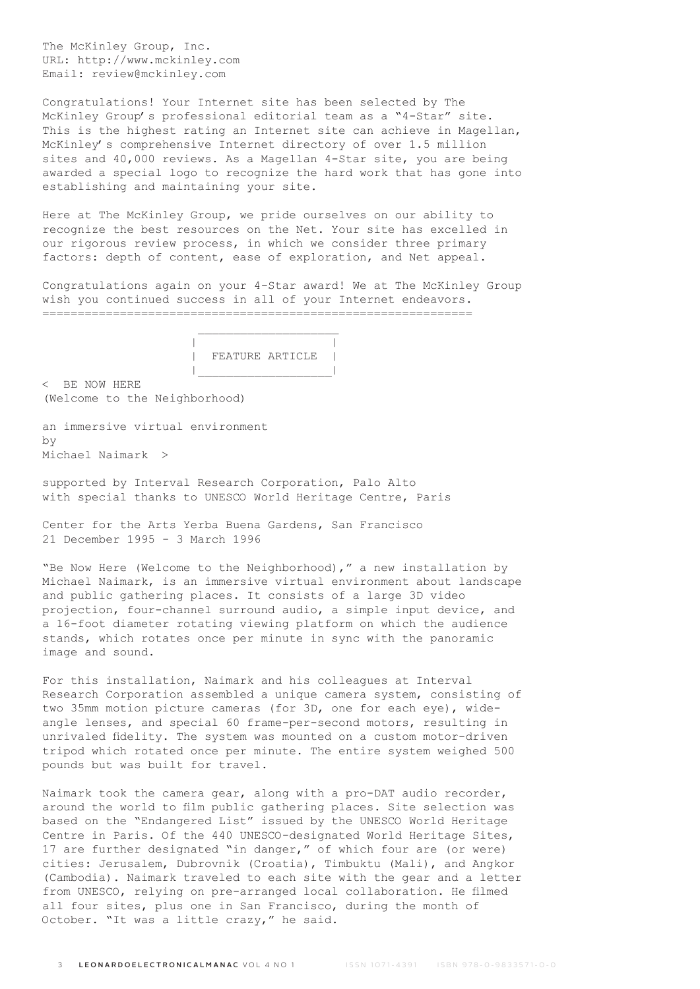The McKinley Group, Inc. URL: http://www.mckinley.com Email: review@mckinley.com

Congratulations! Your Internet site has been selected by The McKinley Group's professional editorial team as a "4-Star" site. This is the highest rating an Internet site can achieve in Magellan, McKinley's comprehensive Internet directory of over 1.5 million sites and 40,000 reviews. As a Magellan 4-Star site, you are being awarded a special logo to recognize the hard work that has gone into establishing and maintaining your site.

Here at The McKinley Group, we pride ourselves on our ability to recognize the best resources on the Net. Your site has excelled in our rigorous review process, in which we consider three primary factors: depth of content, ease of exploration, and Net appeal.

Congratulations again on your 4-Star award! We at The McKinley Group wish you continued success in all of your Internet endeavors. =============================================================



< BE NOW HERE (Welcome to the Neighborhood)

an immersive virtual environment  $h\nu$ Michael Naimark >

supported by Interval Research Corporation, Palo Alto with special thanks to UNESCO World Heritage Centre, Paris

Center for the Arts Yerba Buena Gardens, San Francisco 21 December 1995 - 3 March 1996

"Be Now Here (Welcome to the Neighborhood)," a new installation by Michael Naimark, is an immersive virtual environment about landscape and public gathering places. It consists of a large 3D video projection, four-channel surround audio, a simple input device, and a 16-foot diameter rotating viewing platform on which the audience stands, which rotates once per minute in sync with the panoramic image and sound.

For this installation, Naimark and his colleagues at Interval Research Corporation assembled a unique camera system, consisting of two 35mm motion picture cameras (for 3D, one for each eye), wideangle lenses, and special 60 frame-per-second motors, resulting in unrivaled fidelity. The system was mounted on a custom motor-driven tripod which rotated once per minute. The entire system weighed 500 pounds but was built for travel.

Naimark took the camera gear, along with a pro-DAT audio recorder, around the world to film public gathering places. Site selection was based on the "Endangered List" issued by the UNESCO World Heritage Centre in Paris. Of the 440 UNESCO-designated World Heritage Sites, 17 are further designated "in danger," of which four are (or were) cities: Jerusalem, Dubrovnik (Croatia), Timbuktu (Mali), and Angkor (Cambodia). Naimark traveled to each site with the gear and a letter from UNESCO, relying on pre-arranged local collaboration. He filmed all four sites, plus one in San Francisco, during the month of October. "It was a little crazy," he said.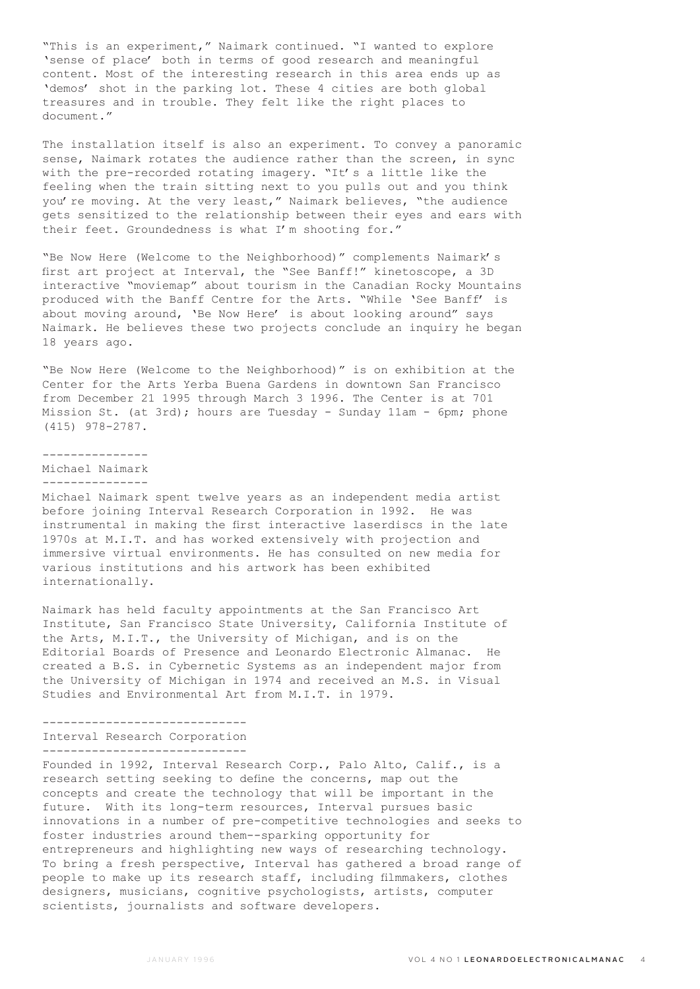"This is an experiment," Naimark continued. "I wanted to explore 'sense of place' both in terms of good research and meaningful content. Most of the interesting research in this area ends up as 'demos' shot in the parking lot. These 4 cities are both global treasures and in trouble. They felt like the right places to document."

The installation itself is also an experiment. To convey a panoramic sense, Naimark rotates the audience rather than the screen, in sync with the pre-recorded rotating imagery. "It's a little like the feeling when the train sitting next to you pulls out and you think you're moving. At the very least," Naimark believes, "the audience gets sensitized to the relationship between their eyes and ears with their feet. Groundedness is what I'm shooting for."

"Be Now Here (Welcome to the Neighborhood)" complements Naimark's first art project at Interval, the "See Banff!" kinetoscope, a 3D interactive "moviemap" about tourism in the Canadian Rocky Mountains produced with the Banff Centre for the Arts. "While 'See Banff' is about moving around, 'Be Now Here' is about looking around" says Naimark. He believes these two projects conclude an inquiry he began 18 years ago.

"Be Now Here (Welcome to the Neighborhood)" is on exhibition at the Center for the Arts Yerba Buena Gardens in downtown San Francisco from December 21 1995 through March 3 1996. The Center is at 701 Mission St. (at 3rd); hours are Tuesday - Sunday 11am - 6pm; phone (415) 978-2787.

---------------

Michael Naimark ---------------

Michael Naimark spent twelve years as an independent media artist before joining Interval Research Corporation in 1992. He was instrumental in making the first interactive laserdiscs in the late 1970s at M.I.T. and has worked extensively with projection and immersive virtual environments. He has consulted on new media for various institutions and his artwork has been exhibited internationally.

Naimark has held faculty appointments at the San Francisco Art Institute, San Francisco State University, California Institute of the Arts, M.I.T., the University of Michigan, and is on the Editorial Boards of Presence and Leonardo Electronic Almanac. He created a B.S. in Cybernetic Systems as an independent major from the University of Michigan in 1974 and received an M.S. in Visual Studies and Environmental Art from M.I.T. in 1979.

## ----------------------------- Interval Research Corporation -----------------------------

Founded in 1992, Interval Research Corp., Palo Alto, Calif., is a research setting seeking to define the concerns, map out the concepts and create the technology that will be important in the future. With its long-term resources, Interval pursues basic innovations in a number of pre-competitive technologies and seeks to foster industries around them--sparking opportunity for entrepreneurs and highlighting new ways of researching technology. To bring a fresh perspective, Interval has gathered a broad range of people to make up its research staff, including filmmakers, clothes designers, musicians, cognitive psychologists, artists, computer scientists, journalists and software developers.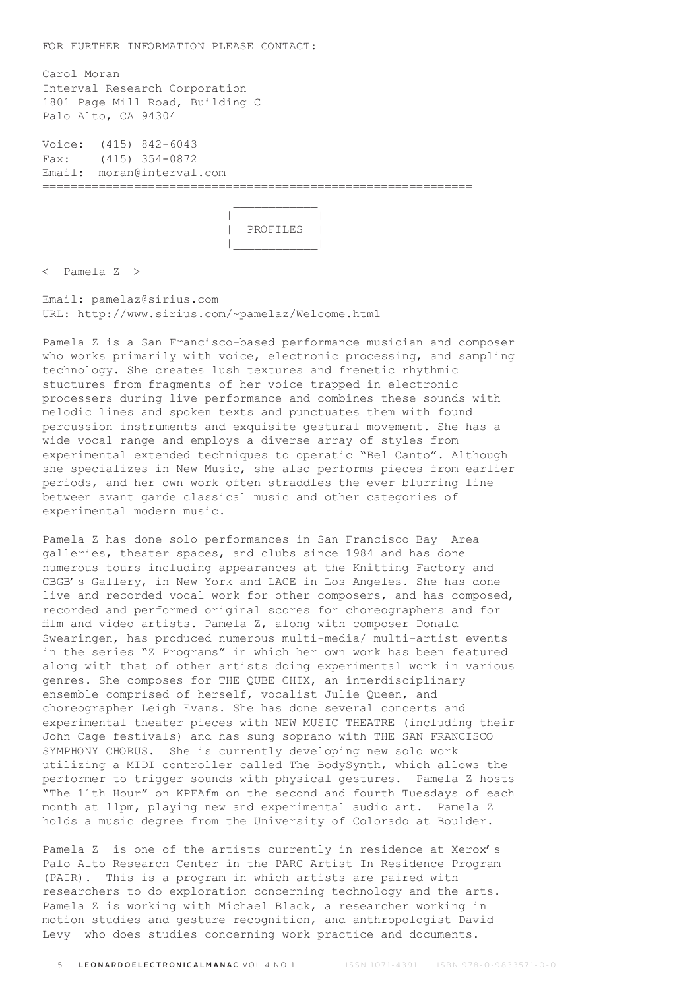FOR FURTHER INFORMATION PLEASE CONTACT:

 $\mathcal{L}_\text{max}$  and  $\mathcal{L}_\text{max}$  and  $\mathcal{L}_\text{max}$  and  $\mathcal{L}_\text{max}$ 

Carol Moran Interval Research Corporation 1801 Page Mill Road, Building C Palo Alto, CA 94304

Voice: (415) 842-6043 Fax: (415) 354-0872 Email: moran@interval.com =============================================================



< Pamela Z >

Email: pamelaz@sirius.com URL: http://www.sirius.com/~pamelaz/Welcome.html

Pamela Z is a San Francisco-based performance musician and composer who works primarily with voice, electronic processing, and sampling technology. She creates lush textures and frenetic rhythmic stuctures from fragments of her voice trapped in electronic processers during live performance and combines these sounds with melodic lines and spoken texts and punctuates them with found percussion instruments and exquisite gestural movement. She has a wide vocal range and employs a diverse array of styles from experimental extended techniques to operatic "Bel Canto". Although she specializes in New Music, she also performs pieces from earlier periods, and her own work often straddles the ever blurring line between avant garde classical music and other categories of experimental modern music.

Pamela Z has done solo performances in San Francisco Bay Area galleries, theater spaces, and clubs since 1984 and has done numerous tours including appearances at the Knitting Factory and CBGB's Gallery, in New York and LACE in Los Angeles. She has done live and recorded vocal work for other composers, and has composed, recorded and performed original scores for choreographers and for film and video artists. Pamela Z, along with composer Donald Swearingen, has produced numerous multi-media/ multi-artist events in the series "Z Programs" in which her own work has been featured along with that of other artists doing experimental work in various genres. She composes for THE QUBE CHIX, an interdisciplinary ensemble comprised of herself, vocalist Julie Queen, and choreographer Leigh Evans. She has done several concerts and experimental theater pieces with NEW MUSIC THEATRE (including their John Cage festivals) and has sung soprano with THE SAN FRANCISCO SYMPHONY CHORUS. She is currently developing new solo work utilizing a MIDI controller called The BodySynth, which allows the performer to trigger sounds with physical gestures. Pamela Z hosts "The 11th Hour" on KPFAfm on the second and fourth Tuesdays of each month at 11pm, playing new and experimental audio art. Pamela Z holds a music degree from the University of Colorado at Boulder.

Pamela Z is one of the artists currently in residence at Xerox's Palo Alto Research Center in the PARC Artist In Residence Program (PAIR). This is a program in which artists are paired with researchers to do exploration concerning technology and the arts. Pamela Z is working with Michael Black, a researcher working in motion studies and gesture recognition, and anthropologist David Levy who does studies concerning work practice and documents.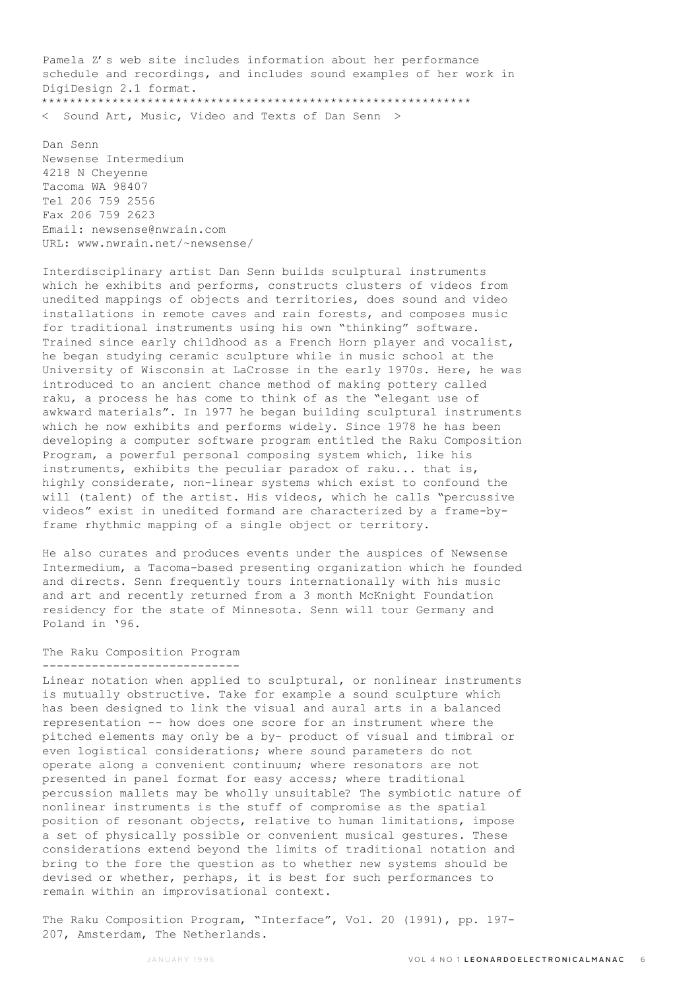Pamela Z's web site includes information about her performance schedule and recordings, and includes sound examples of her work in DigiDesign 2.1 format. \*\*\*\*\*\*\*\*\*\*\*\*\*\*\*\*\*\*\*\*\*\*\*\*\*\*\*\*\*\*\*\*\*\*\*\*\*\*\*\*\*\*\*\*\*\*\*\*\*\*\*\*\*\*\*\*\*\*\*\*\*

Sound Art, Music, Video and Texts of Dan Senn >

Dan Senn Newsense Intermedium 4218 N Cheyenne Tacoma WA 98407 Tel 206 759 2556 Fax 206 759 2623 Email: newsense@nwrain.com URL: www.nwrain.net/~newsense/

Interdisciplinary artist Dan Senn builds sculptural instruments which he exhibits and performs, constructs clusters of videos from unedited mappings of objects and territories, does sound and video installations in remote caves and rain forests, and composes music for traditional instruments using his own "thinking" software. Trained since early childhood as a French Horn player and vocalist, he began studying ceramic sculpture while in music school at the University of Wisconsin at LaCrosse in the early 1970s. Here, he was introduced to an ancient chance method of making pottery called raku, a process he has come to think of as the "elegant use of awkward materials". In 1977 he began building sculptural instruments which he now exhibits and performs widely. Since 1978 he has been developing a computer software program entitled the Raku Composition Program, a powerful personal composing system which, like his instruments, exhibits the peculiar paradox of raku... that is, highly considerate, non-linear systems which exist to confound the will (talent) of the artist. His videos, which he calls "percussive videos" exist in unedited formand are characterized by a frame-byframe rhythmic mapping of a single object or territory.

He also curates and produces events under the auspices of Newsense Intermedium, a Tacoma-based presenting organization which he founded and directs. Senn frequently tours internationally with his music and art and recently returned from a 3 month McKnight Foundation residency for the state of Minnesota. Senn will tour Germany and Poland in '96.

#### The Raku Composition Program ----------------------------

Linear notation when applied to sculptural, or nonlinear instruments is mutually obstructive. Take for example a sound sculpture which has been designed to link the visual and aural arts in a balanced representation -- how does one score for an instrument where the pitched elements may only be a by- product of visual and timbral or even logistical considerations; where sound parameters do not operate along a convenient continuum; where resonators are not presented in panel format for easy access; where traditional percussion mallets may be wholly unsuitable? The symbiotic nature of nonlinear instruments is the stuff of compromise as the spatial position of resonant objects, relative to human limitations, impose a set of physically possible or convenient musical gestures. These considerations extend beyond the limits of traditional notation and bring to the fore the question as to whether new systems should be devised or whether, perhaps, it is best for such performances to remain within an improvisational context.

The Raku Composition Program, "Interface", Vol. 20 (1991), pp. 197- 207, Amsterdam, The Netherlands.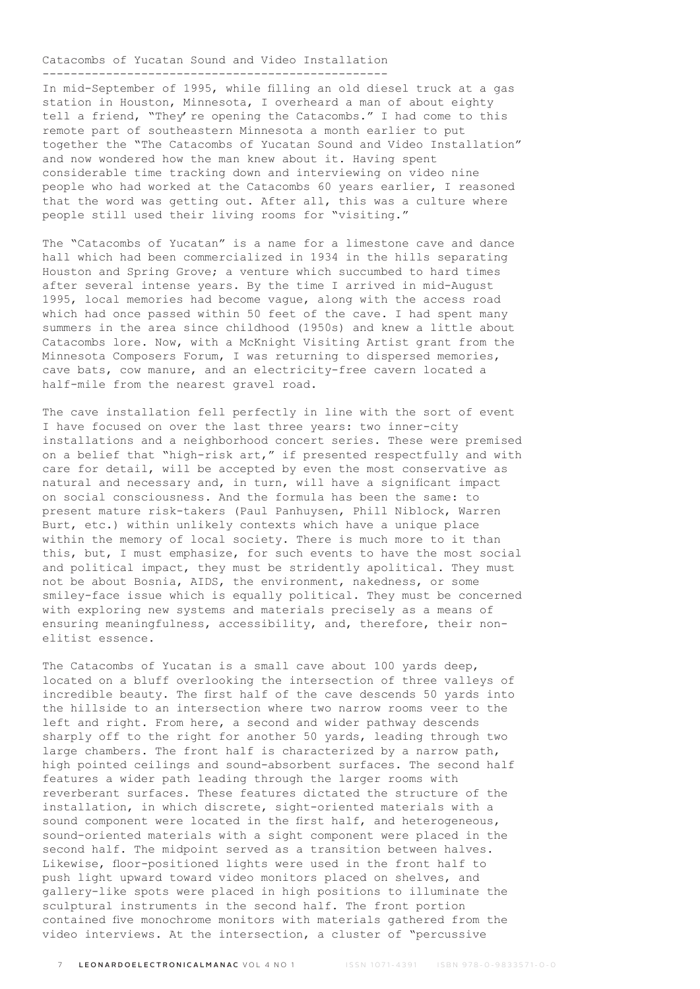#### Catacombs of Yucatan Sound and Video Installation

-------------------------------------------------

In mid-September of 1995, while filling an old diesel truck at a gas station in Houston, Minnesota, I overheard a man of about eighty tell a friend, "They're opening the Catacombs." I had come to this remote part of southeastern Minnesota a month earlier to put together the "The Catacombs of Yucatan Sound and Video Installation" and now wondered how the man knew about it. Having spent considerable time tracking down and interviewing on video nine people who had worked at the Catacombs 60 years earlier, I reasoned that the word was getting out. After all, this was a culture where people still used their living rooms for "visiting."

The "Catacombs of Yucatan" is a name for a limestone cave and dance hall which had been commercialized in 1934 in the hills separating Houston and Spring Grove; a venture which succumbed to hard times after several intense years. By the time I arrived in mid-August 1995, local memories had become vague, along with the access road which had once passed within 50 feet of the cave. I had spent many summers in the area since childhood (1950s) and knew a little about Catacombs lore. Now, with a McKnight Visiting Artist grant from the Minnesota Composers Forum, I was returning to dispersed memories, cave bats, cow manure, and an electricity-free cavern located a half-mile from the nearest gravel road.

The cave installation fell perfectly in line with the sort of event I have focused on over the last three years: two inner-city installations and a neighborhood concert series. These were premised on a belief that "high-risk art," if presented respectfully and with care for detail, will be accepted by even the most conservative as natural and necessary and, in turn, will have a significant impact on social consciousness. And the formula has been the same: to present mature risk-takers (Paul Panhuysen, Phill Niblock, Warren Burt, etc.) within unlikely contexts which have a unique place within the memory of local society. There is much more to it than this, but, I must emphasize, for such events to have the most social and political impact, they must be stridently apolitical. They must not be about Bosnia, AIDS, the environment, nakedness, or some smiley-face issue which is equally political. They must be concerned with exploring new systems and materials precisely as a means of ensuring meaningfulness, accessibility, and, therefore, their nonelitist essence.

The Catacombs of Yucatan is a small cave about 100 yards deep, located on a bluff overlooking the intersection of three valleys of incredible beauty. The first half of the cave descends 50 yards into the hillside to an intersection where two narrow rooms veer to the left and right. From here, a second and wider pathway descends sharply off to the right for another 50 yards, leading through two large chambers. The front half is characterized by a narrow path, high pointed ceilings and sound-absorbent surfaces. The second half features a wider path leading through the larger rooms with reverberant surfaces. These features dictated the structure of the installation, in which discrete, sight-oriented materials with a sound component were located in the first half, and heterogeneous, sound-oriented materials with a sight component were placed in the second half. The midpoint served as a transition between halves. Likewise, floor-positioned lights were used in the front half to push light upward toward video monitors placed on shelves, and gallery-like spots were placed in high positions to illuminate the sculptural instruments in the second half. The front portion contained five monochrome monitors with materials gathered from the video interviews. At the intersection, a cluster of "percussive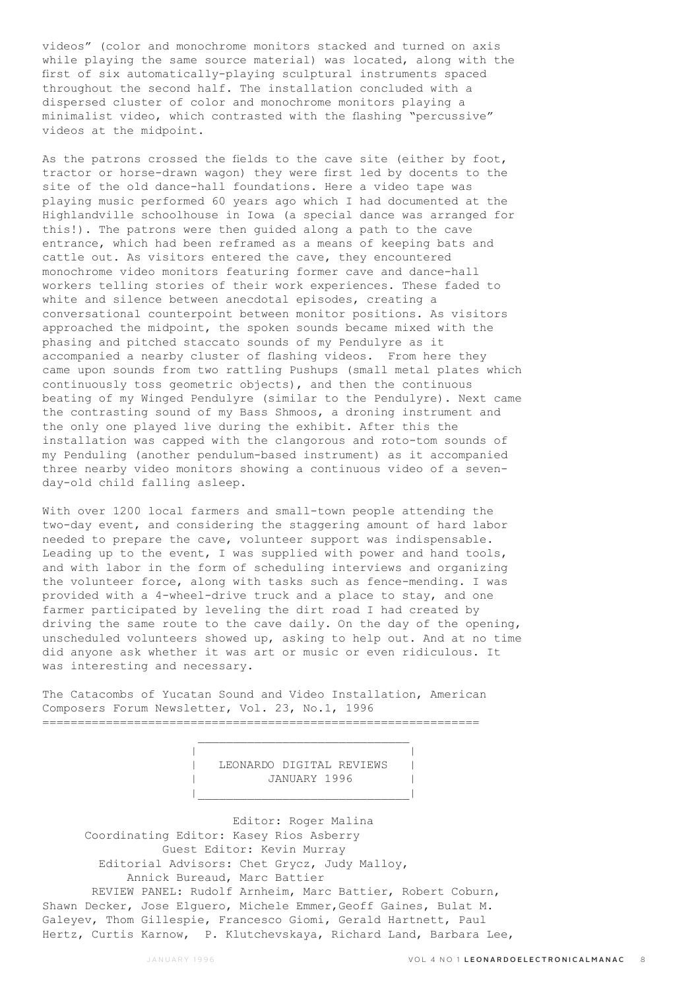videos" (color and monochrome monitors stacked and turned on axis while playing the same source material) was located, along with the first of six automatically-playing sculptural instruments spaced throughout the second half. The installation concluded with a dispersed cluster of color and monochrome monitors playing a minimalist video, which contrasted with the flashing "percussive" videos at the midpoint.

As the patrons crossed the fields to the cave site (either by foot, tractor or horse-drawn wagon) they were first led by docents to the site of the old dance-hall foundations. Here a video tape was playing music performed 60 years ago which I had documented at the Highlandville schoolhouse in Iowa (a special dance was arranged for this!). The patrons were then guided along a path to the cave entrance, which had been reframed as a means of keeping bats and cattle out. As visitors entered the cave, they encountered monochrome video monitors featuring former cave and dance-hall workers telling stories of their work experiences. These faded to white and silence between anecdotal episodes, creating a conversational counterpoint between monitor positions. As visitors approached the midpoint, the spoken sounds became mixed with the phasing and pitched staccato sounds of my Pendulyre as it accompanied a nearby cluster of flashing videos. From here they came upon sounds from two rattling Pushups (small metal plates which continuously toss geometric objects), and then the continuous beating of my Winged Pendulyre (similar to the Pendulyre). Next came the contrasting sound of my Bass Shmoos, a droning instrument and the only one played live during the exhibit. After this the installation was capped with the clangorous and roto-tom sounds of my Penduling (another pendulum-based instrument) as it accompanied three nearby video monitors showing a continuous video of a sevenday-old child falling asleep.

With over 1200 local farmers and small-town people attending the two-day event, and considering the staggering amount of hard labor needed to prepare the cave, volunteer support was indispensable. Leading up to the event, I was supplied with power and hand tools, and with labor in the form of scheduling interviews and organizing the volunteer force, along with tasks such as fence-mending. I was provided with a 4-wheel-drive truck and a place to stay, and one farmer participated by leveling the dirt road I had created by driving the same route to the cave daily. On the day of the opening, unscheduled volunteers showed up, asking to help out. And at no time did anyone ask whether it was art or music or even ridiculous. It was interesting and necessary.

The Catacombs of Yucatan Sound and Video Installation, American Composers Forum Newsletter, Vol. 23, No.1, 1996 ==============================================================

 | | | LEONARDO DIGITAL REVIEWS | | JANUARY 1996 | |\_\_\_\_\_\_\_\_\_\_\_\_\_\_\_\_\_\_\_\_\_\_\_\_\_\_\_\_\_\_|

 Editor: Roger Malina Coordinating Editor: Kasey Rios Asberry Guest Editor: Kevin Murray Editorial Advisors: Chet Grycz, Judy Malloy, Annick Bureaud, Marc Battier REVIEW PANEL: Rudolf Arnheim, Marc Battier, Robert Coburn, Shawn Decker, Jose Elguero, Michele Emmer,Geoff Gaines, Bulat M. Galeyev, Thom Gillespie, Francesco Giomi, Gerald Hartnett, Paul Hertz, Curtis Karnow, P. Klutchevskaya, Richard Land, Barbara Lee,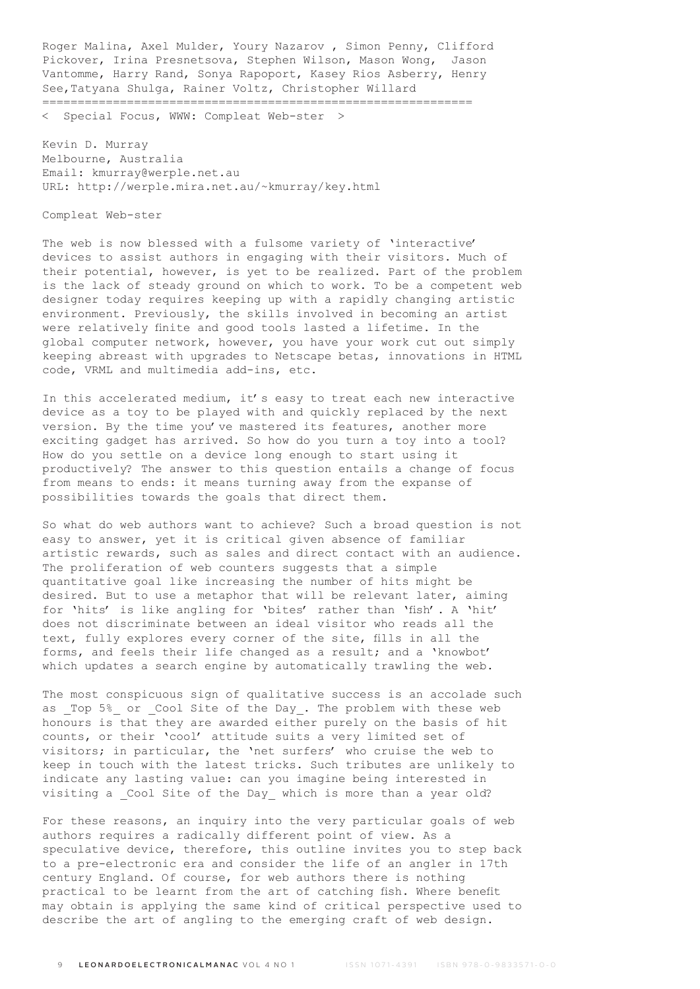Roger Malina, Axel Mulder, Youry Nazarov , Simon Penny, Clifford Pickover, Irina Presnetsova, Stephen Wilson, Mason Wong, Jason Vantomme, Harry Rand, Sonya Rapoport, Kasey Rios Asberry, Henry See,Tatyana Shulga, Rainer Voltz, Christopher Willard =============================================================

< Special Focus, WWW: Compleat Web-ster >

Kevin D. Murray Melbourne, Australia Email: kmurray@werple.net.au URL: http://werple.mira.net.au/~kmurray/key.html

Compleat Web-ster

The web is now blessed with a fulsome variety of 'interactive' devices to assist authors in engaging with their visitors. Much of their potential, however, is yet to be realized. Part of the problem is the lack of steady ground on which to work. To be a competent web designer today requires keeping up with a rapidly changing artistic environment. Previously, the skills involved in becoming an artist were relatively finite and good tools lasted a lifetime. In the global computer network, however, you have your work cut out simply keeping abreast with upgrades to Netscape betas, innovations in HTML code, VRML and multimedia add-ins, etc.

In this accelerated medium, it's easy to treat each new interactive device as a toy to be played with and quickly replaced by the next version. By the time you've mastered its features, another more exciting gadget has arrived. So how do you turn a toy into a tool? How do you settle on a device long enough to start using it productively? The answer to this question entails a change of focus from means to ends: it means turning away from the expanse of possibilities towards the goals that direct them.

So what do web authors want to achieve? Such a broad question is not easy to answer, yet it is critical given absence of familiar artistic rewards, such as sales and direct contact with an audience. The proliferation of web counters suggests that a simple quantitative goal like increasing the number of hits might be desired. But to use a metaphor that will be relevant later, aiming for 'hits' is like angling for 'bites' rather than 'fish'. A 'hit' does not discriminate between an ideal visitor who reads all the text, fully explores every corner of the site, fills in all the forms, and feels their life changed as a result; and a 'knowbot' which updates a search engine by automatically trawling the web.

The most conspicuous sign of qualitative success is an accolade such as \_Top 5%\_ or \_Cool Site of the Day\_. The problem with these web honours is that they are awarded either purely on the basis of hit counts, or their 'cool' attitude suits a very limited set of visitors; in particular, the 'net surfers' who cruise the web to keep in touch with the latest tricks. Such tributes are unlikely to indicate any lasting value: can you imagine being interested in visiting a Cool Site of the Day which is more than a year old?

For these reasons, an inquiry into the very particular goals of web authors requires a radically different point of view. As a speculative device, therefore, this outline invites you to step back to a pre-electronic era and consider the life of an angler in 17th century England. Of course, for web authors there is nothing practical to be learnt from the art of catching fish. Where benefit may obtain is applying the same kind of critical perspective used to describe the art of angling to the emerging craft of web design.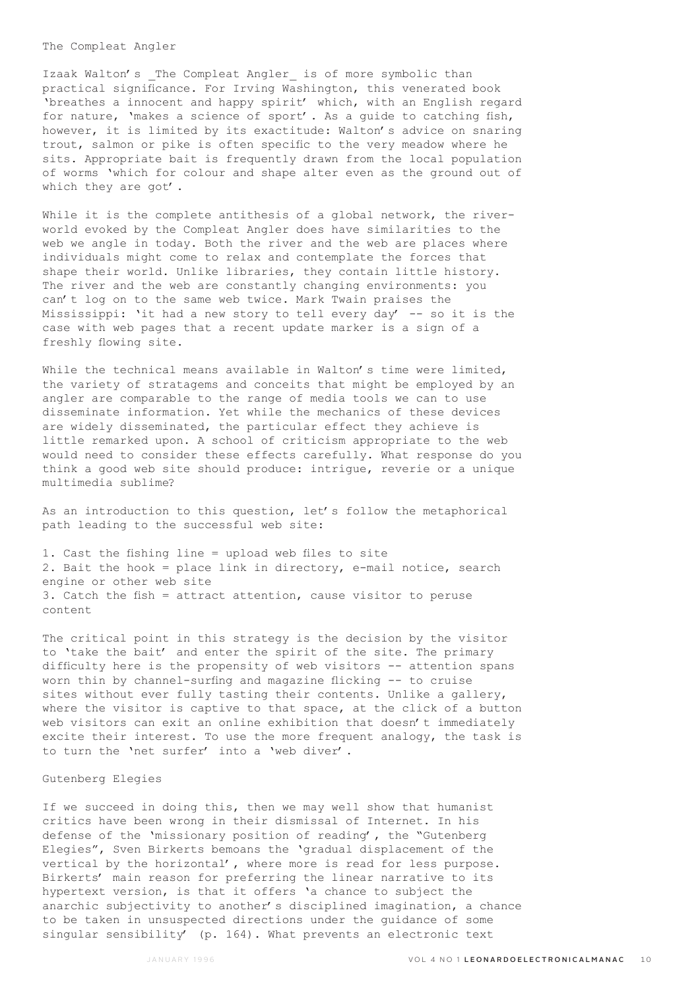### The Compleat Angler

Izaak Walton's The Compleat Angler is of more symbolic than practical significance. For Irving Washington, this venerated book 'breathes a innocent and happy spirit' which, with an English regard for nature, 'makes a science of sport'. As a guide to catching fish, however, it is limited by its exactitude: Walton's advice on snaring trout, salmon or pike is often specific to the very meadow where he sits. Appropriate bait is frequently drawn from the local population of worms 'which for colour and shape alter even as the ground out of which they are got'.

While it is the complete antithesis of a global network, the riverworld evoked by the Compleat Angler does have similarities to the web we angle in today. Both the river and the web are places where individuals might come to relax and contemplate the forces that shape their world. Unlike libraries, they contain little history. The river and the web are constantly changing environments: you can't log on to the same web twice. Mark Twain praises the Mississippi: 'it had a new story to tell every day' -- so it is the case with web pages that a recent update marker is a sign of a freshly flowing site.

While the technical means available in Walton's time were limited, the variety of stratagems and conceits that might be employed by an angler are comparable to the range of media tools we can to use disseminate information. Yet while the mechanics of these devices are widely disseminated, the particular effect they achieve is little remarked upon. A school of criticism appropriate to the web would need to consider these effects carefully. What response do you think a good web site should produce: intrigue, reverie or a unique multimedia sublime?

As an introduction to this question, let's follow the metaphorical path leading to the successful web site:

1. Cast the fishing line = upload web files to site 2. Bait the hook = place link in directory, e-mail notice, search engine or other web site 3. Catch the fish = attract attention, cause visitor to peruse content

The critical point in this strategy is the decision by the visitor to 'take the bait' and enter the spirit of the site. The primary difficulty here is the propensity of web visitors -- attention spans worn thin by channel-surfing and magazine flicking -- to cruise sites without ever fully tasting their contents. Unlike a gallery, where the visitor is captive to that space, at the click of a button web visitors can exit an online exhibition that doesn't immediately excite their interest. To use the more frequent analogy, the task is to turn the 'net surfer' into a 'web diver'.

#### Gutenberg Elegies

If we succeed in doing this, then we may well show that humanist critics have been wrong in their dismissal of Internet. In his defense of the 'missionary position of reading', the "Gutenberg Elegies", Sven Birkerts bemoans the 'gradual displacement of the vertical by the horizontal', where more is read for less purpose. Birkerts' main reason for preferring the linear narrative to its hypertext version, is that it offers 'a chance to subject the anarchic subjectivity to another's disciplined imagination, a chance to be taken in unsuspected directions under the guidance of some singular sensibility' (p. 164). What prevents an electronic text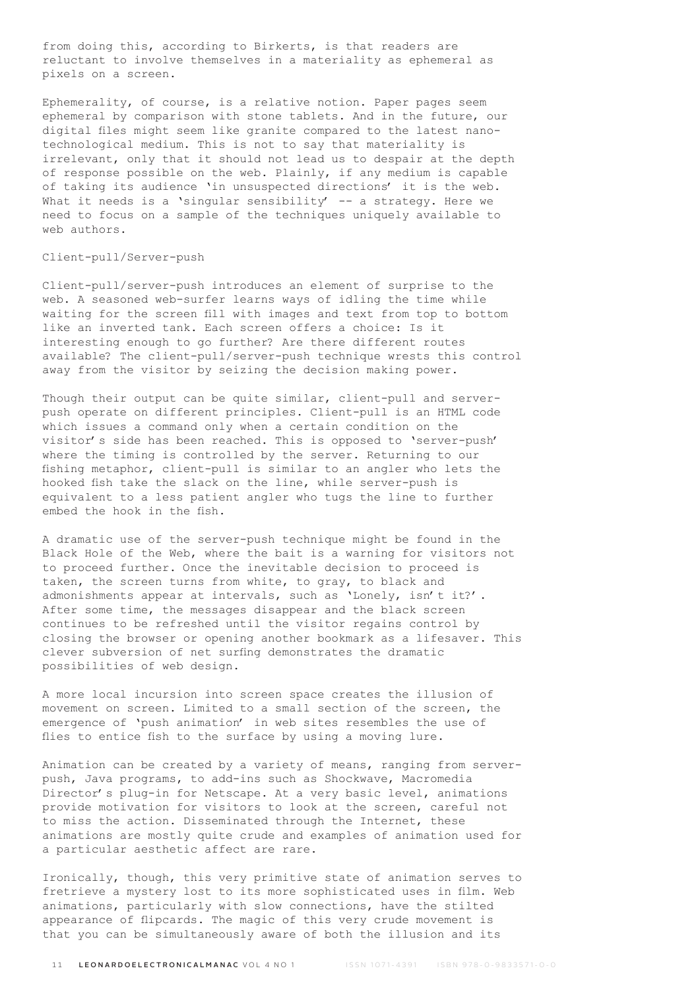from doing this, according to Birkerts, is that readers are reluctant to involve themselves in a materiality as ephemeral as pixels on a screen.

Ephemerality, of course, is a relative notion. Paper pages seem ephemeral by comparison with stone tablets. And in the future, our digital files might seem like granite compared to the latest nanotechnological medium. This is not to say that materiality is irrelevant, only that it should not lead us to despair at the depth of response possible on the web. Plainly, if any medium is capable of taking its audience 'in unsuspected directions' it is the web. What it needs is a 'singular sensibility' -- a strategy. Here we need to focus on a sample of the techniques uniquely available to web authors.

### Client-pull/Server-push

Client-pull/server-push introduces an element of surprise to the web. A seasoned web-surfer learns ways of idling the time while waiting for the screen fill with images and text from top to bottom like an inverted tank. Each screen offers a choice: Is it interesting enough to go further? Are there different routes available? The client-pull/server-push technique wrests this control away from the visitor by seizing the decision making power.

Though their output can be quite similar, client-pull and serverpush operate on different principles. Client-pull is an HTML code which issues a command only when a certain condition on the visitor's side has been reached. This is opposed to 'server-push' where the timing is controlled by the server. Returning to our fishing metaphor, client-pull is similar to an angler who lets the hooked fish take the slack on the line, while server-push is equivalent to a less patient angler who tugs the line to further embed the hook in the fish.

A dramatic use of the server-push technique might be found in the Black Hole of the Web, where the bait is a warning for visitors not to proceed further. Once the inevitable decision to proceed is taken, the screen turns from white, to gray, to black and admonishments appear at intervals, such as 'Lonely, isn't it?'. After some time, the messages disappear and the black screen continues to be refreshed until the visitor regains control by closing the browser or opening another bookmark as a lifesaver. This clever subversion of net surfing demonstrates the dramatic possibilities of web design.

A more local incursion into screen space creates the illusion of movement on screen. Limited to a small section of the screen, the emergence of 'push animation' in web sites resembles the use of flies to entice fish to the surface by using a moving lure.

Animation can be created by a variety of means, ranging from serverpush, Java programs, to add-ins such as Shockwave, Macromedia Director's plug-in for Netscape. At a very basic level, animations provide motivation for visitors to look at the screen, careful not to miss the action. Disseminated through the Internet, these animations are mostly quite crude and examples of animation used for a particular aesthetic affect are rare.

Ironically, though, this very primitive state of animation serves to fretrieve a mystery lost to its more sophisticated uses in film. Web animations, particularly with slow connections, have the stilted appearance of flipcards. The magic of this very crude movement is that you can be simultaneously aware of both the illusion and its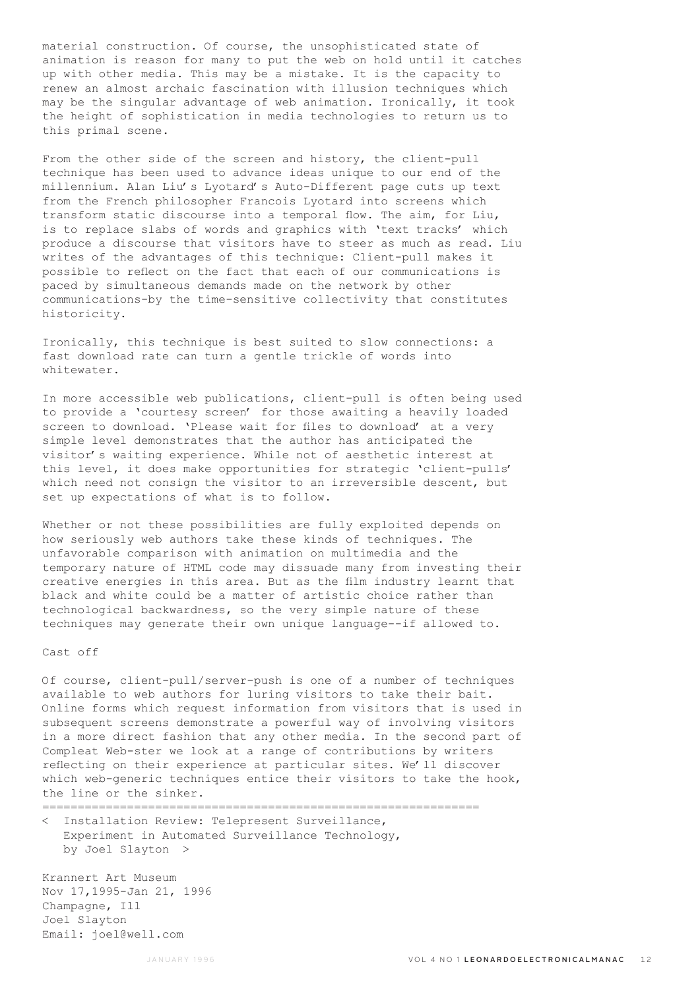material construction. Of course, the unsophisticated state of animation is reason for many to put the web on hold until it catches up with other media. This may be a mistake. It is the capacity to renew an almost archaic fascination with illusion techniques which may be the singular advantage of web animation. Ironically, it took the height of sophistication in media technologies to return us to this primal scene.

From the other side of the screen and history, the client-pull technique has been used to advance ideas unique to our end of the millennium. Alan Liu's Lyotard's Auto-Different page cuts up text from the French philosopher Francois Lyotard into screens which transform static discourse into a temporal flow. The aim, for Liu, is to replace slabs of words and graphics with 'text tracks' which produce a discourse that visitors have to steer as much as read. Liu writes of the advantages of this technique: Client-pull makes it possible to reflect on the fact that each of our communications is paced by simultaneous demands made on the network by other communications-by the time-sensitive collectivity that constitutes historicity.

Ironically, this technique is best suited to slow connections: a fast download rate can turn a gentle trickle of words into whitewater.

In more accessible web publications, client-pull is often being used to provide a 'courtesy screen' for those awaiting a heavily loaded screen to download. 'Please wait for files to download' at a very simple level demonstrates that the author has anticipated the visitor's waiting experience. While not of aesthetic interest at this level, it does make opportunities for strategic 'client-pulls' which need not consign the visitor to an irreversible descent, but set up expectations of what is to follow.

Whether or not these possibilities are fully exploited depends on how seriously web authors take these kinds of techniques. The unfavorable comparison with animation on multimedia and the temporary nature of HTML code may dissuade many from investing their creative energies in this area. But as the film industry learnt that black and white could be a matter of artistic choice rather than technological backwardness, so the very simple nature of these techniques may generate their own unique language--if allowed to.

### Cast off

Of course, client-pull/server-push is one of a number of techniques available to web authors for luring visitors to take their bait. Online forms which request information from visitors that is used in subsequent screens demonstrate a powerful way of involving visitors in a more direct fashion that any other media. In the second part of Compleat Web-ster we look at a range of contributions by writers reflecting on their experience at particular sites. We'll discover which web-generic techniques entice their visitors to take the hook, the line or the sinker.

==============================================================

< Installation Review: Telepresent Surveillance, Experiment in Automated Surveillance Technology, by Joel Slayton >

Krannert Art Museum Nov 17,1995-Jan 21, 1996 Champagne, Ill Joel Slayton Email: joel@well.com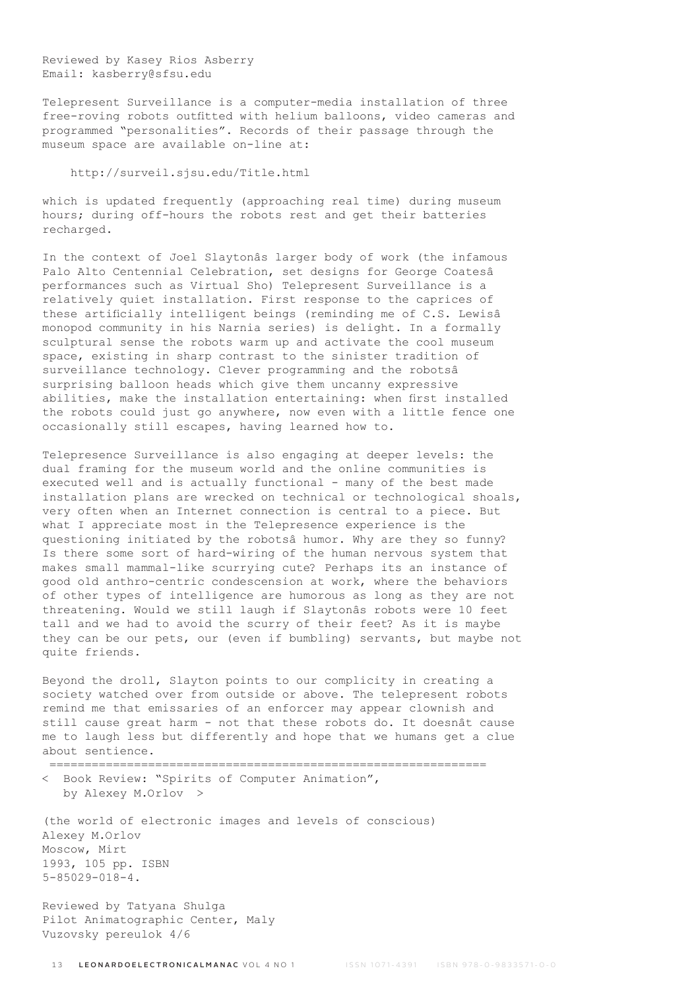Reviewed by Kasey Rios Asberry Email: kasberry@sfsu.edu

Telepresent Surveillance is a computer-media installation of three free-roving robots outfitted with helium balloons, video cameras and programmed "personalities". Records of their passage through the museum space are available on-line at:

http://surveil.sjsu.edu/Title.html

which is updated frequently (approaching real time) during museum hours; during off-hours the robots rest and get their batteries recharged.

In the context of Joel Slaytonâs larger body of work (the infamous Palo Alto Centennial Celebration, set designs for George Coatesâ performances such as Virtual Sho) Telepresent Surveillance is a relatively quiet installation. First response to the caprices of these artificially intelligent beings (reminding me of C.S. Lewisâ monopod community in his Narnia series) is delight. In a formally sculptural sense the robots warm up and activate the cool museum space, existing in sharp contrast to the sinister tradition of surveillance technology. Clever programming and the robotsâ surprising balloon heads which give them uncanny expressive abilities, make the installation entertaining: when first installed the robots could just go anywhere, now even with a little fence one occasionally still escapes, having learned how to.

Telepresence Surveillance is also engaging at deeper levels: the dual framing for the museum world and the online communities is executed well and is actually functional - many of the best made installation plans are wrecked on technical or technological shoals, very often when an Internet connection is central to a piece. But what I appreciate most in the Telepresence experience is the questioning initiated by the robotsâ humor. Why are they so funny? Is there some sort of hard-wiring of the human nervous system that makes small mammal-like scurrying cute? Perhaps its an instance of good old anthro-centric condescension at work, where the behaviors of other types of intelligence are humorous as long as they are not threatening. Would we still laugh if Slaytonâs robots were 10 feet tall and we had to avoid the scurry of their feet? As it is maybe they can be our pets, our (even if bumbling) servants, but maybe not quite friends.

Beyond the droll, Slayton points to our complicity in creating a society watched over from outside or above. The telepresent robots remind me that emissaries of an enforcer may appear clownish and still cause great harm - not that these robots do. It doesnât cause me to laugh less but differently and hope that we humans get a clue about sentience.

 ============================================================== < Book Review: "Spirits of Computer Animation",

by Alexey M.Orlov >

(the world of electronic images and levels of conscious) Alexey M.Orlov Moscow, Mirt 1993, 105 pp. ISBN 5-85029-018-4.

Reviewed by Tatyana Shulga Pilot Animatographic Center, Maly Vuzovsky pereulok 4/6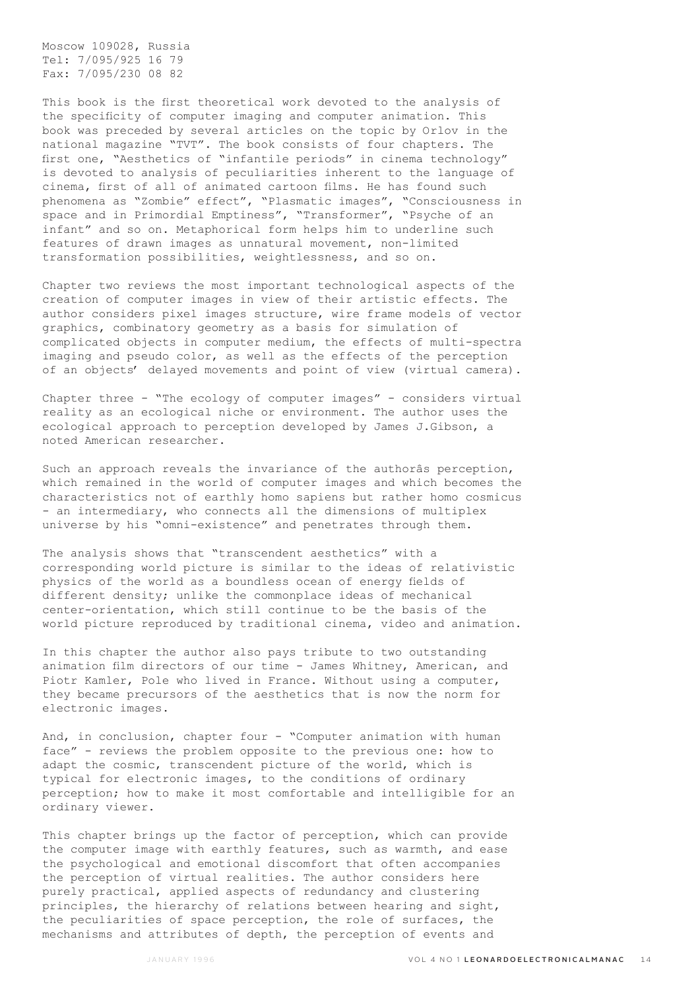Moscow 109028, Russia Tel: 7/095/925 16 79 Fax: 7/095/230 08 82

This book is the first theoretical work devoted to the analysis of the specificity of computer imaging and computer animation. This book was preceded by several articles on the topic by Orlov in the national magazine "TVT". The book consists of four chapters. The first one, "Aesthetics of "infantile periods" in cinema technology" is devoted to analysis of peculiarities inherent to the language of cinema, first of all of animated cartoon films. He has found such phenomena as "Zombie" effect", "Plasmatic images", "Consciousness in space and in Primordial Emptiness", "Transformer", "Psyche of an infant" and so on. Metaphorical form helps him to underline such features of drawn images as unnatural movement, non-limited transformation possibilities, weightlessness, and so on.

Chapter two reviews the most important technological aspects of the creation of computer images in view of their artistic effects. The author considers pixel images structure, wire frame models of vector graphics, combinatory geometry as a basis for simulation of complicated objects in computer medium, the effects of multi-spectra imaging and pseudo color, as well as the effects of the perception of an objects' delayed movements and point of view (virtual camera).

Chapter three - "The ecology of computer images" - considers virtual reality as an ecological niche or environment. The author uses the ecological approach to perception developed by James J.Gibson, a noted American researcher.

Such an approach reveals the invariance of the authorâs perception, which remained in the world of computer images and which becomes the characteristics not of earthly homo sapiens but rather homo cosmicus - an intermediary, who connects all the dimensions of multiplex universe by his "omni-existence" and penetrates through them.

The analysis shows that "transcendent aesthetics" with a corresponding world picture is similar to the ideas of relativistic physics of the world as a boundless ocean of energy fields of different density; unlike the commonplace ideas of mechanical center-orientation, which still continue to be the basis of the world picture reproduced by traditional cinema, video and animation.

In this chapter the author also pays tribute to two outstanding animation film directors of our time - James Whitney, American, and Piotr Kamler, Pole who lived in France. Without using a computer, they became precursors of the aesthetics that is now the norm for electronic images.

And, in conclusion, chapter four - "Computer animation with human face" - reviews the problem opposite to the previous one: how to adapt the cosmic, transcendent picture of the world, which is typical for electronic images, to the conditions of ordinary perception; how to make it most comfortable and intelligible for an ordinary viewer.

This chapter brings up the factor of perception, which can provide the computer image with earthly features, such as warmth, and ease the psychological and emotional discomfort that often accompanies the perception of virtual realities. The author considers here purely practical, applied aspects of redundancy and clustering principles, the hierarchy of relations between hearing and sight, the peculiarities of space perception, the role of surfaces, the mechanisms and attributes of depth, the perception of events and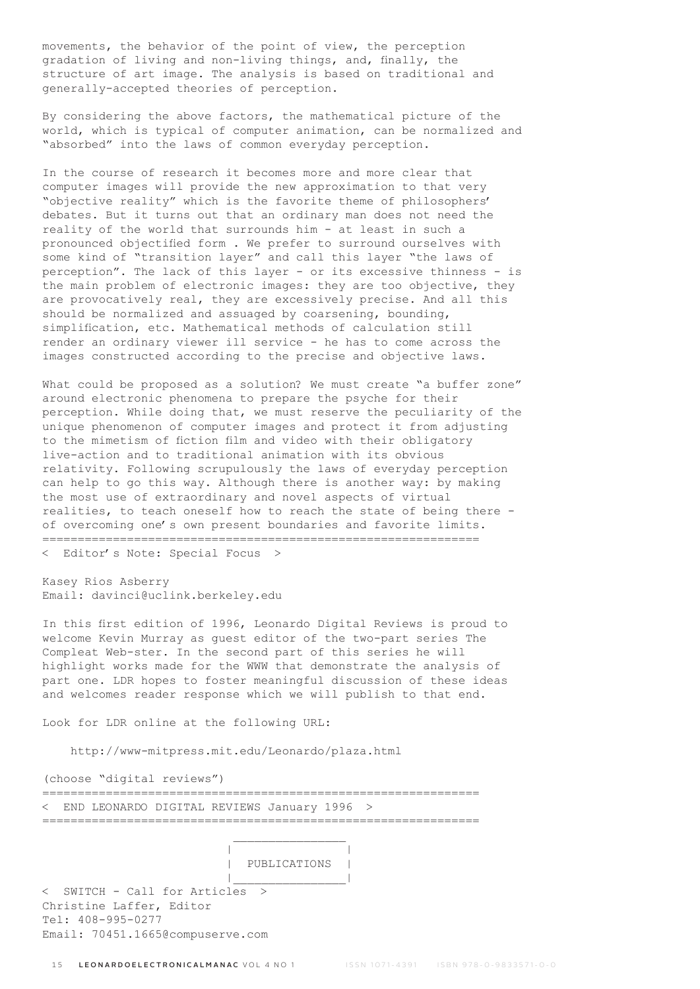movements, the behavior of the point of view, the perception gradation of living and non-living things, and, finally, the structure of art image. The analysis is based on traditional and generally-accepted theories of perception.

By considering the above factors, the mathematical picture of the world, which is typical of computer animation, can be normalized and "absorbed" into the laws of common everyday perception.

In the course of research it becomes more and more clear that computer images will provide the new approximation to that very "objective reality" which is the favorite theme of philosophers' debates. But it turns out that an ordinary man does not need the reality of the world that surrounds him - at least in such a pronounced objectified form . We prefer to surround ourselves with some kind of "transition layer" and call this layer "the laws of perception". The lack of this layer - or its excessive thinness - is the main problem of electronic images: they are too objective, they are provocatively real, they are excessively precise. And all this should be normalized and assuaged by coarsening, bounding, simplification, etc. Mathematical methods of calculation still render an ordinary viewer ill service - he has to come across the images constructed according to the precise and objective laws.

What could be proposed as a solution? We must create "a buffer zone" around electronic phenomena to prepare the psyche for their perception. While doing that, we must reserve the peculiarity of the unique phenomenon of computer images and protect it from adjusting to the mimetism of fiction film and video with their obligatory live-action and to traditional animation with its obvious relativity. Following scrupulously the laws of everyday perception can help to go this way. Although there is another way: by making the most use of extraordinary and novel aspects of virtual realities, to teach oneself how to reach the state of being there of overcoming one's own present boundaries and favorite limits. ==============================================================

< Editor's Note: Special Focus >

Kasey Rios Asberry Email: davinci@uclink.berkeley.edu

In this first edition of 1996, Leonardo Digital Reviews is proud to welcome Kevin Murray as guest editor of the two-part series The Compleat Web-ster. In the second part of this series he will highlight works made for the WWW that demonstrate the analysis of part one. LDR hopes to foster meaningful discussion of these ideas and welcomes reader response which we will publish to that end.

Look for LDR online at the following URL:

| |

http://www-mitpress.mit.edu/Leonardo/plaza.html

(choose "digital reviews")

============================================================== < END LEONARDO DIGITAL REVIEWS January 1996 > ==============================================================

| PUBLICATIONS |

 |\_\_\_\_\_\_\_\_\_\_\_\_\_\_\_\_| < SWITCH - Call for Articles > Christine Laffer, Editor Tel: 408-995-0277 Email: 70451.1665@compuserve.com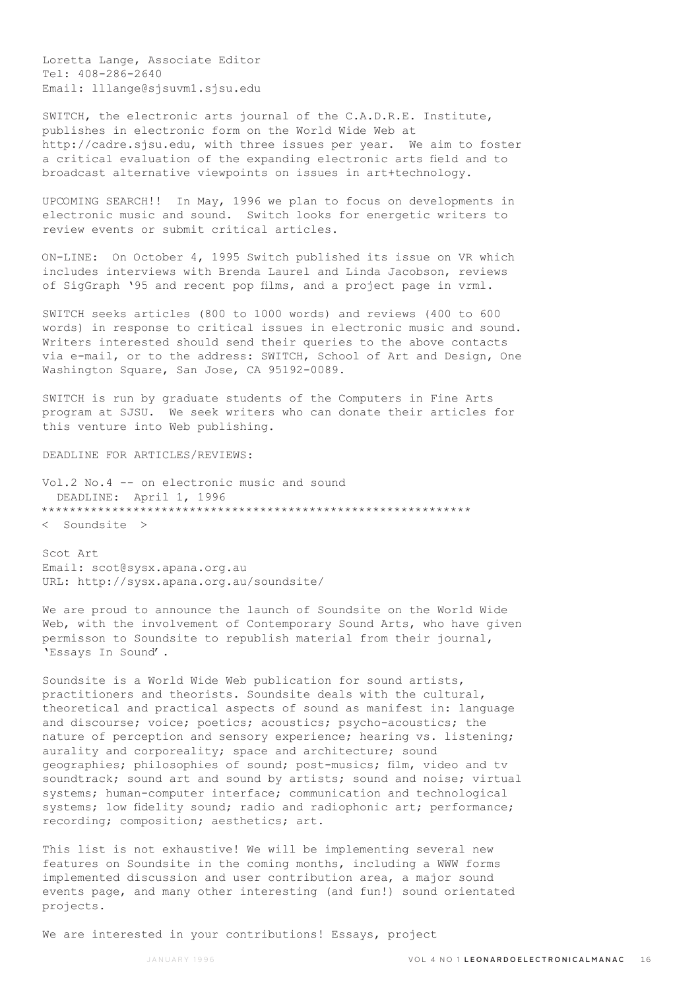Loretta Lange, Associate Editor Tel: 408-286-2640 Email: lllange@sjsuvm1.sjsu.edu

SWITCH, the electronic arts journal of the C.A.D.R.E. Institute, publishes in electronic form on the World Wide Web at http://cadre.sjsu.edu, with three issues per year. We aim to foster a critical evaluation of the expanding electronic arts field and to broadcast alternative viewpoints on issues in art+technology.

UPCOMING SEARCH!! In May, 1996 we plan to focus on developments in electronic music and sound. Switch looks for energetic writers to review events or submit critical articles.

ON-LINE: On October 4, 1995 Switch published its issue on VR which includes interviews with Brenda Laurel and Linda Jacobson, reviews of SigGraph '95 and recent pop films, and a project page in vrml.

SWITCH seeks articles (800 to 1000 words) and reviews (400 to 600 words) in response to critical issues in electronic music and sound. Writers interested should send their queries to the above contacts via e-mail, or to the address: SWITCH, School of Art and Design, One Washington Square, San Jose, CA 95192-0089.

SWITCH is run by graduate students of the Computers in Fine Arts program at SJSU. We seek writers who can donate their articles for this venture into Web publishing.

DEADLINE FOR ARTICLES/REVIEWS:

Vol.2 No.4 -- on electronic music and sound DEADLINE: April 1, 1996 \*\*\*\*\*\*\*\*\*\*\*\*\*\*\*\*\*\*\*\*\*\*\*\*\*\*\*\*\*\*\*\*\*\*\*\*\*\*\*\*\*\*\*\*\*\*\*\*\*\*\*\*\*\*\*\*\*\*\*\*\* < Soundsite >

Scot Art Email: scot@sysx.apana.org.au URL: http://sysx.apana.org.au/soundsite/

We are proud to announce the launch of Soundsite on the World Wide Web, with the involvement of Contemporary Sound Arts, who have given permisson to Soundsite to republish material from their journal, 'Essays In Sound'.

Soundsite is a World Wide Web publication for sound artists, practitioners and theorists. Soundsite deals with the cultural, theoretical and practical aspects of sound as manifest in: language and discourse; voice; poetics; acoustics; psycho-acoustics; the nature of perception and sensory experience; hearing vs. listening; aurality and corporeality; space and architecture; sound geographies; philosophies of sound; post-musics; film, video and tv soundtrack; sound art and sound by artists; sound and noise; virtual systems; human-computer interface; communication and technological systems; low fidelity sound; radio and radiophonic art; performance; recording; composition; aesthetics; art.

This list is not exhaustive! We will be implementing several new features on Soundsite in the coming months, including a WWW forms implemented discussion and user contribution area, a major sound events page, and many other interesting (and fun!) sound orientated projects.

We are interested in your contributions! Essays, project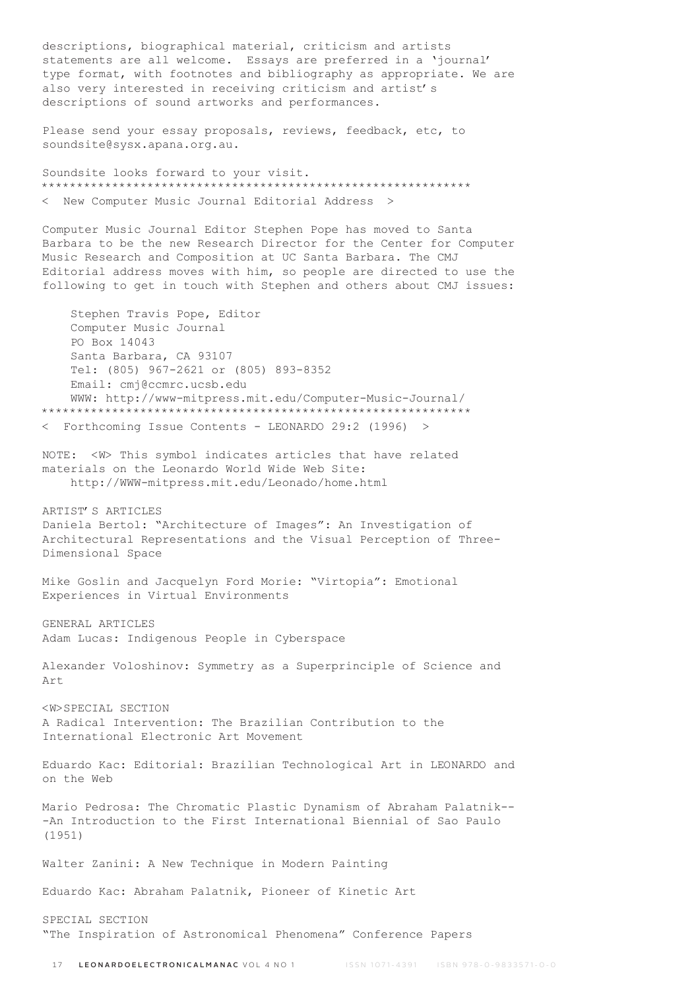descriptions, biographical material, criticism and artists statements are all welcome. Essays are preferred in a 'journal' type format, with footnotes and bibliography as appropriate. We are also very interested in receiving criticism and artist's descriptions of sound artworks and performances.

Please send your essay proposals, reviews, feedback, etc, to soundsite@sysx.apana.org.au.

Soundsite looks forward to your visit. \*\*\*\*\*\*\*\*\*\*\*\*\*\*\*\*\*\*\*\*\*\*\*\*\*\*\*\*\*\*\*\*\*\*\*\*\*\*\*\*\*\*\*\*\*\*\*\*\*\*\*\*\*\*\*\*\*\*\*\*\* < New Computer Music Journal Editorial Address >

Computer Music Journal Editor Stephen Pope has moved to Santa Barbara to be the new Research Director for the Center for Computer Music Research and Composition at UC Santa Barbara. The CMJ Editorial address moves with him, so people are directed to use the following to get in touch with Stephen and others about CMJ issues:

 Stephen Travis Pope, Editor Computer Music Journal PO Box 14043 Santa Barbara, CA 93107 Tel: (805) 967-2621 or (805) 893-8352 Email: cmj@ccmrc.ucsb.edu WWW: http://www-mitpress.mit.edu/Computer-Music-Journal/ \*\*\*\*\*\*\*\*\*\*\*\*\*\*\*\*\*\*\*\*\*\*\*\*\*\*\*\*\*\*\*\*\*\*\*\*\*\*\*\*\*\*\*\*\*\*\*\*\*\*\*\*\*\*\*\*\*\*\*\*\* < Forthcoming Issue Contents - LEONARDO 29:2 (1996) > NOTE: <W> This symbol indicates articles that have related materials on the Leonardo World Wide Web Site: http://WWW-mitpress.mit.edu/Leonado/home.html ARTIST'S ARTICLES Daniela Bertol: "Architecture of Images": An Investigation of Architectural Representations and the Visual Perception of Three-Dimensional Space Mike Goslin and Jacquelyn Ford Morie: "Virtopia": Emotional Experiences in Virtual Environments GENERAL ARTICLES Adam Lucas: Indigenous People in Cyberspace Alexander Voloshinov: Symmetry as a Superprinciple of Science and Art <W>SPECIAL SECTION A Radical Intervention: The Brazilian Contribution to the International Electronic Art Movement Eduardo Kac: Editorial: Brazilian Technological Art in LEONARDO and on the Web Mario Pedrosa: The Chromatic Plastic Dynamism of Abraham Palatnik-- -An Introduction to the First International Biennial of Sao Paulo (1951) Walter Zanini: A New Technique in Modern Painting Eduardo Kac: Abraham Palatnik, Pioneer of Kinetic Art SPECIAL SECTION

"The Inspiration of Astronomical Phenomena" Conference Papers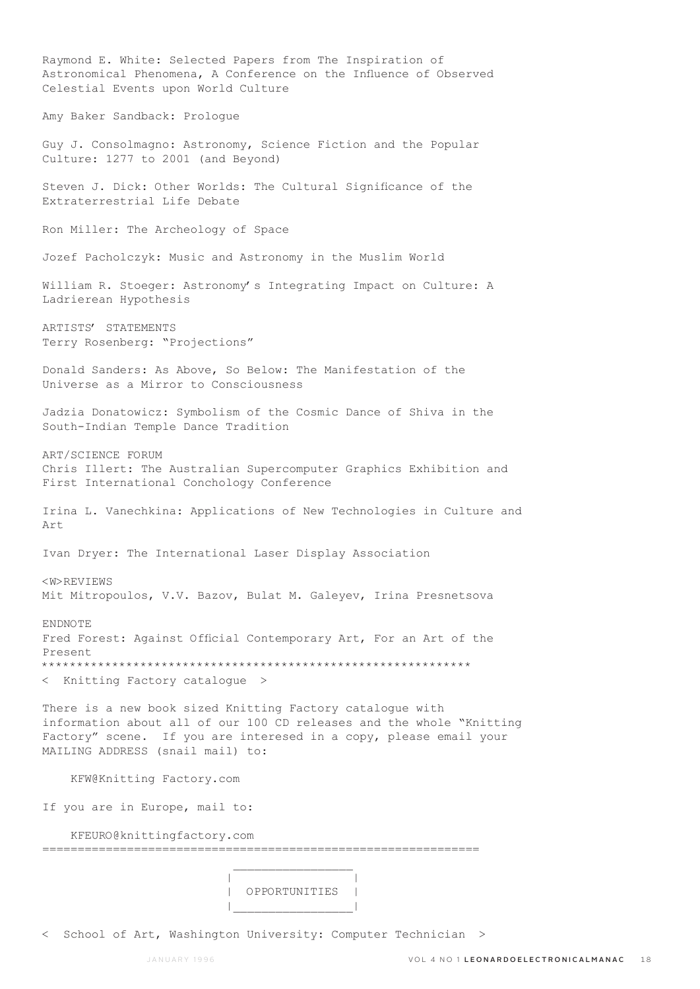Raymond E. White: Selected Papers from The Inspiration of Astronomical Phenomena, A Conference on the Influence of Observed Celestial Events upon World Culture Amy Baker Sandback: Prologue Guy J. Consolmagno: Astronomy, Science Fiction and the Popular Culture: 1277 to 2001 (and Beyond) Steven J. Dick: Other Worlds: The Cultural Significance of the Extraterrestrial Life Debate Ron Miller: The Archeology of Space Jozef Pacholczyk: Music and Astronomy in the Muslim World William R. Stoeger: Astronomy's Integrating Impact on Culture: A Ladrierean Hypothesis ARTISTS' STATEMENTS Terry Rosenberg: "Projections" Donald Sanders: As Above, So Below: The Manifestation of the Universe as a Mirror to Consciousness Jadzia Donatowicz: Symbolism of the Cosmic Dance of Shiva in the South-Indian Temple Dance Tradition ART/SCIENCE FORUM Chris Illert: The Australian Supercomputer Graphics Exhibition and First International Conchology Conference Irina L. Vanechkina: Applications of New Technologies in Culture and Art Ivan Dryer: The International Laser Display Association <W>REVIEWS Mit Mitropoulos, V.V. Bazov, Bulat M. Galeyev, Irina Presnetsova ENDNOTE Fred Forest: Against Official Contemporary Art, For an Art of the Present \*\*\*\*\*\*\*\*\*\*\*\*\*\*\*\*\*\*\*\*\*\*\*\*\*\*\*\*\*\*\*\*\*\*\*\*\*\*\*\*\*\*\*\*\*\*\*\*\*\*\*\*\*\*\*\*\*\*\*\*\* < Knitting Factory catalogue > There is a new book sized Knitting Factory catalogue with information about all of our 100 CD releases and the whole "Knitting Factory" scene. If you are interesed in a copy, please email your MAILING ADDRESS (snail mail) to: KFW@Knitting Factory.com If you are in Europe, mail to: KFEURO@knittingfactory.com ============================================================== | | | OPPORTUNITIES | |\_\_\_\_\_\_\_\_\_\_\_\_\_\_\_\_\_|

< School of Art, Washington University: Computer Technician >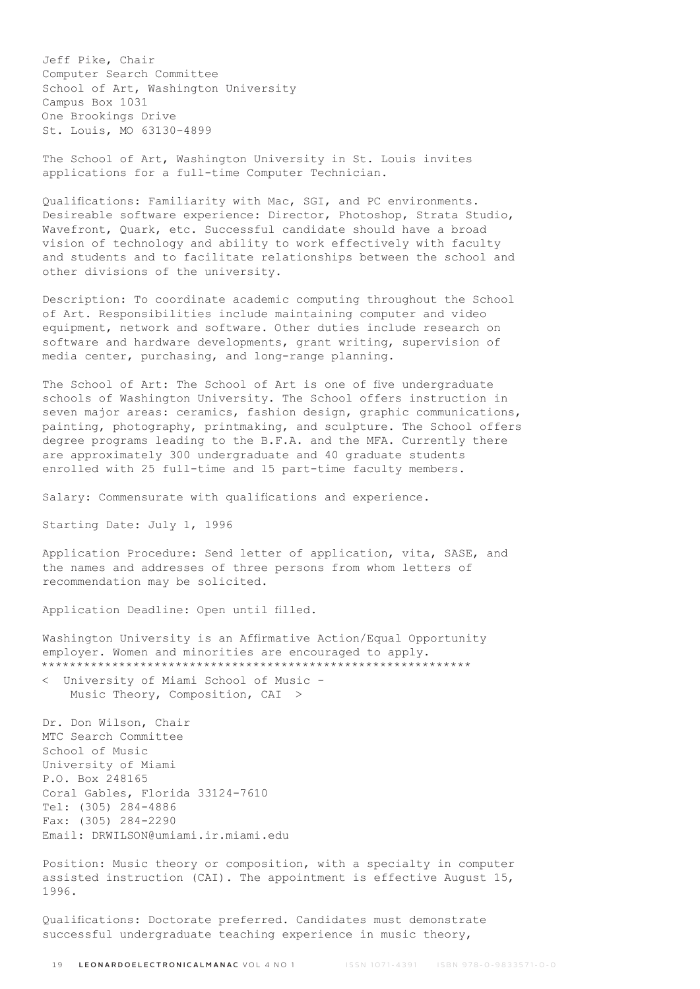Jeff Pike, Chair Computer Search Committee School of Art, Washington University Campus Box 1031 One Brookings Drive St. Louis, MO 63130-4899

The School of Art, Washington University in St. Louis invites applications for a full-time Computer Technician.

Qualifications: Familiarity with Mac, SGI, and PC environments. Desireable software experience: Director, Photoshop, Strata Studio, Wavefront, Quark, etc. Successful candidate should have a broad vision of technology and ability to work effectively with faculty and students and to facilitate relationships between the school and other divisions of the university.

Description: To coordinate academic computing throughout the School of Art. Responsibilities include maintaining computer and video equipment, network and software. Other duties include research on software and hardware developments, grant writing, supervision of media center, purchasing, and long-range planning.

The School of Art: The School of Art is one of five undergraduate schools of Washington University. The School offers instruction in seven major areas: ceramics, fashion design, graphic communications, painting, photography, printmaking, and sculpture. The School offers degree programs leading to the B.F.A. and the MFA. Currently there are approximately 300 undergraduate and 40 graduate students enrolled with 25 full-time and 15 part-time faculty members.

Salary: Commensurate with qualifications and experience.

Starting Date: July 1, 1996

Application Procedure: Send letter of application, vita, SASE, and the names and addresses of three persons from whom letters of recommendation may be solicited.

Application Deadline: Open until filled.

Washington University is an Affirmative Action/Equal Opportunity employer. Women and minorities are encouraged to apply. \*\*\*\*\*\*\*\*\*\*\*\*\*\*\*\*\*\*\*\*\*\*\*\*\*\*\*\*\*\*\*\*\*\*\*\*\*\*\*\*\*\*\*\*\*\*\*\*\*\*\*\*\*\*\*\*\*\*\*\*\*

< University of Miami School of Music - Music Theory, Composition, CAI >

Dr. Don Wilson, Chair MTC Search Committee School of Music University of Miami P.O. Box 248165 Coral Gables, Florida 33124-7610 Tel: (305) 284-4886 Fax: (305) 284-2290 Email: DRWILSON@umiami.ir.miami.edu

Position: Music theory or composition, with a specialty in computer assisted instruction (CAI). The appointment is effective August 15, 1996.

Qualifications: Doctorate preferred. Candidates must demonstrate successful undergraduate teaching experience in music theory,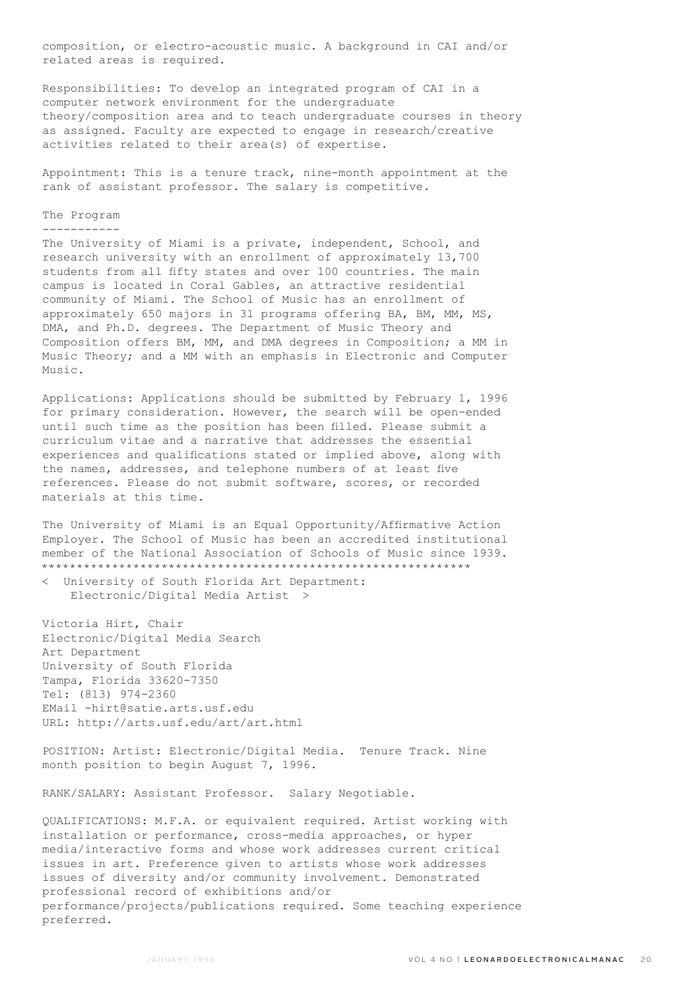composition, or electro-acoustic music. A background in CAI and/or related areas is required.

Responsibilities: To develop an integrated program of CAI in a computer network environment for the undergraduate theory/composition area and to teach undergraduate courses in theory as assigned. Faculty are expected to engage in research/creative activities related to their area(s) of expertise.

Appointment: This is a tenure track, nine-month appointment at the rank of assistant professor. The salary is competitive.

## The Program

# -----------

The University of Miami is a private, independent, School, and research university with an enrollment of approximately 13,700 students from all fifty states and over 100 countries. The main campus is located in Coral Gables, an attractive residential community of Miami. The School of Music has an enrollment of approximately 650 majors in 31 programs offering BA, BM, MM, MS, DMA, and Ph.D. degrees. The Department of Music Theory and Composition offers BM, MM, and DMA degrees in Composition; a MM in Music Theory; and a MM with an emphasis in Electronic and Computer Music.

Applications: Applications should be submitted by February 1, 1996 for primary consideration. However, the search will be open-ended until such time as the position has been filled. Please submit a curriculum vitae and a narrative that addresses the essential experiences and qualifications stated or implied above, along with the names, addresses, and telephone numbers of at least five references. Please do not submit software, scores, or recorded materials at this time.

The University of Miami is an Equal Opportunity/Affirmative Action Employer. The School of Music has been an accredited institutional member of the National Association of Schools of Music since 1939. \*\*\*\*\*\*\*\*\*\*\*\*\*\*\*\*\*\*\*\*\*\*\*\*\*\*\*\*\*\*\*\*\*\*\*\*\*\*\*\*\*\*\*\*\*\*\*\*\*\*\*\*\*\*\*\*\*\*\*\*\*

< University of South Florida Art Department: Electronic/Digital Media Artist >

Victoria Hirt, Chair Electronic/Digital Media Search Art Department University of South Florida Tampa, Florida 33620-7350 Tel: (813) 974-2360 EMail -hirt@satie.arts.usf.edu URL: http://arts.usf.edu/art/art.html

POSITION: Artist: Electronic/Digital Media. Tenure Track. Nine month position to begin August 7, 1996.

RANK/SALARY: Assistant Professor. Salary Negotiable.

QUALIFICATIONS: M.F.A. or equivalent required. Artist working with installation or performance, cross-media approaches, or hyper media/interactive forms and whose work addresses current critical issues in art. Preference given to artists whose work addresses issues of diversity and/or community involvement. Demonstrated professional record of exhibitions and/or performance/projects/publications required. Some teaching experience preferred.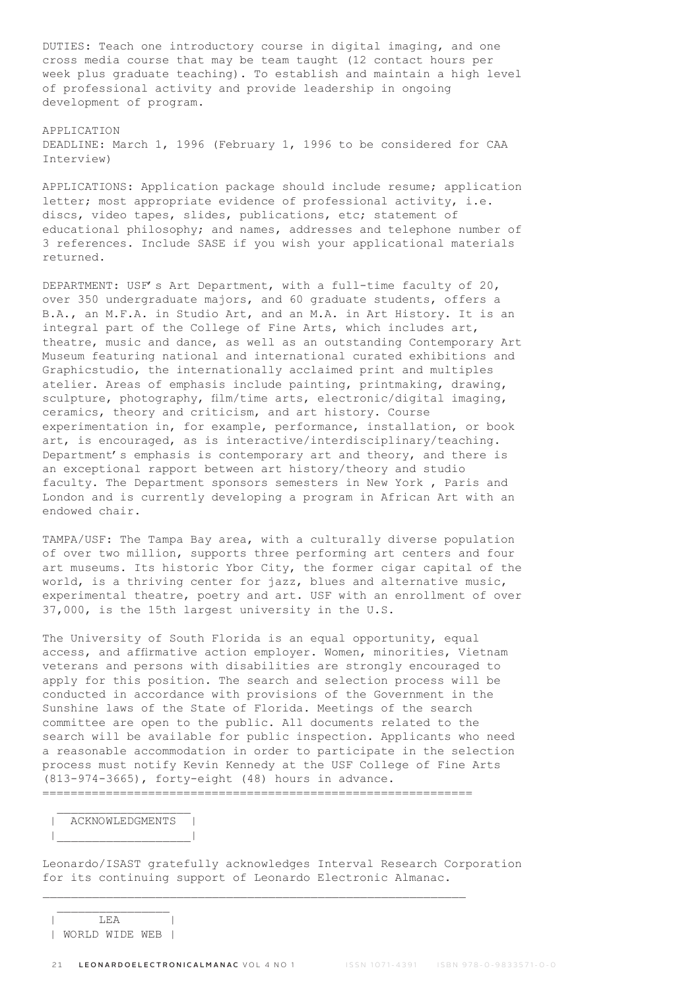DUTIES: Teach one introductory course in digital imaging, and one cross media course that may be team taught (12 contact hours per week plus graduate teaching). To establish and maintain a high level of professional activity and provide leadership in ongoing development of program.

### APPLICATION

DEADLINE: March 1, 1996 (February 1, 1996 to be considered for CAA Interview)

APPLICATIONS: Application package should include resume; application letter; most appropriate evidence of professional activity, i.e. discs, video tapes, slides, publications, etc; statement of educational philosophy; and names, addresses and telephone number of 3 references. Include SASE if you wish your applicational materials returned.

DEPARTMENT: USF's Art Department, with a full-time faculty of 20, over 350 undergraduate majors, and 60 graduate students, offers a B.A., an M.F.A. in Studio Art, and an M.A. in Art History. It is an integral part of the College of Fine Arts, which includes art, theatre, music and dance, as well as an outstanding Contemporary Art Museum featuring national and international curated exhibitions and Graphicstudio, the internationally acclaimed print and multiples atelier. Areas of emphasis include painting, printmaking, drawing, sculpture, photography, film/time arts, electronic/digital imaging, ceramics, theory and criticism, and art history. Course experimentation in, for example, performance, installation, or book art, is encouraged, as is interactive/interdisciplinary/teaching. Department's emphasis is contemporary art and theory, and there is an exceptional rapport between art history/theory and studio faculty. The Department sponsors semesters in New York , Paris and London and is currently developing a program in African Art with an endowed chair.

TAMPA/USF: The Tampa Bay area, with a culturally diverse population of over two million, supports three performing art centers and four art museums. Its historic Ybor City, the former cigar capital of the world, is a thriving center for jazz, blues and alternative music, experimental theatre, poetry and art. USF with an enrollment of over 37,000, is the 15th largest university in the U.S.

The University of South Florida is an equal opportunity, equal access, and affirmative action employer. Women, minorities, Vietnam veterans and persons with disabilities are strongly encouraged to apply for this position. The search and selection process will be conducted in accordance with provisions of the Government in the Sunshine laws of the State of Florida. Meetings of the search committee are open to the public. All documents related to the search will be available for public inspection. Applicants who need a reasonable accommodation in order to participate in the selection process must notify Kevin Kennedy at the USF College of Fine Arts (813-974-3665), forty-eight (48) hours in advance. =============================================================

| ACKNOWLEDGMENTS | |\_\_\_\_\_\_\_\_\_\_\_\_\_\_\_\_\_\_\_|

Leonardo/ISAST gratefully acknowledges Interval Research Corporation for its continuing support of Leonardo Electronic Almanac.

| LEA | | WORLD WIDE WEB |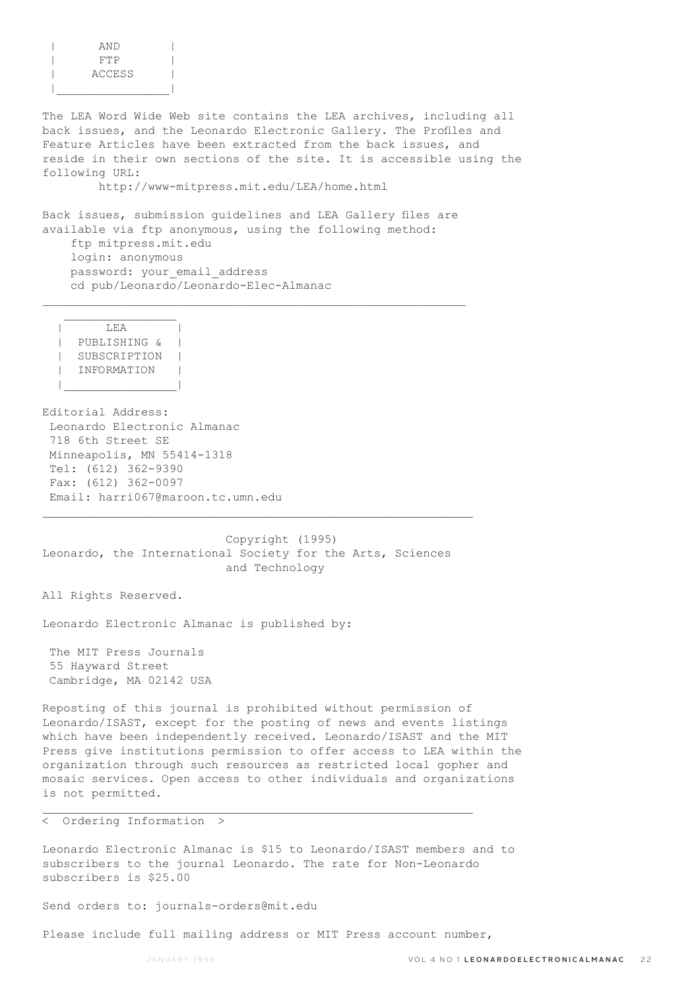| AND    |  |
|--------|--|
| FTP    |  |
| ACCESS |  |
|        |  |

The LEA Word Wide Web site contains the LEA archives, including all back issues, and the Leonardo Electronic Gallery. The Profiles and Feature Articles have been extracted from the back issues, and reside in their own sections of the site. It is accessible using the following URL:

http://www-mitpress.mit.edu/LEA/home.html

Back issues, submission guidelines and LEA Gallery files are available via ftp anonymous, using the following method: ftp mitpress.mit.edu login: anonymous password: your email address cd pub/Leonardo/Leonardo-Elec-Almanac

 $\mathcal{L}_\text{max}$ 

 $\overline{LEA}$  | PUBLISHING & | | SUBSCRIPTION | | INFORMATION | |\_\_\_\_\_\_\_\_\_\_\_\_\_\_\_\_|

 $\mathcal{L}_\text{max}$ 

Editorial Address: Leonardo Electronic Almanac 718 6th Street SE Minneapolis, MN 55414-1318 Tel: (612) 362-9390 Fax: (612) 362-0097 Email: harri067@maroon.tc.umn.edu

 Copyright (1995) Leonardo, the International Society for the Arts, Sciences and Technology

 $\mathcal{L}_\text{max}$ 

All Rights Reserved.

Leonardo Electronic Almanac is published by:

 The MIT Press Journals 55 Hayward Street Cambridge, MA 02142 USA

Reposting of this journal is prohibited without permission of Leonardo/ISAST, except for the posting of news and events listings which have been independently received. Leonardo/ISAST and the MIT Press give institutions permission to offer access to LEA within the organization through such resources as restricted local gopher and mosaic services. Open access to other individuals and organizations is not permitted.

< Ordering Information >

Leonardo Electronic Almanac is \$15 to Leonardo/ISAST members and to subscribers to the journal Leonardo. The rate for Non-Leonardo subscribers is \$25.00

Send orders to: journals-orders@mit.edu

Please include full mailing address or MIT Press account number,